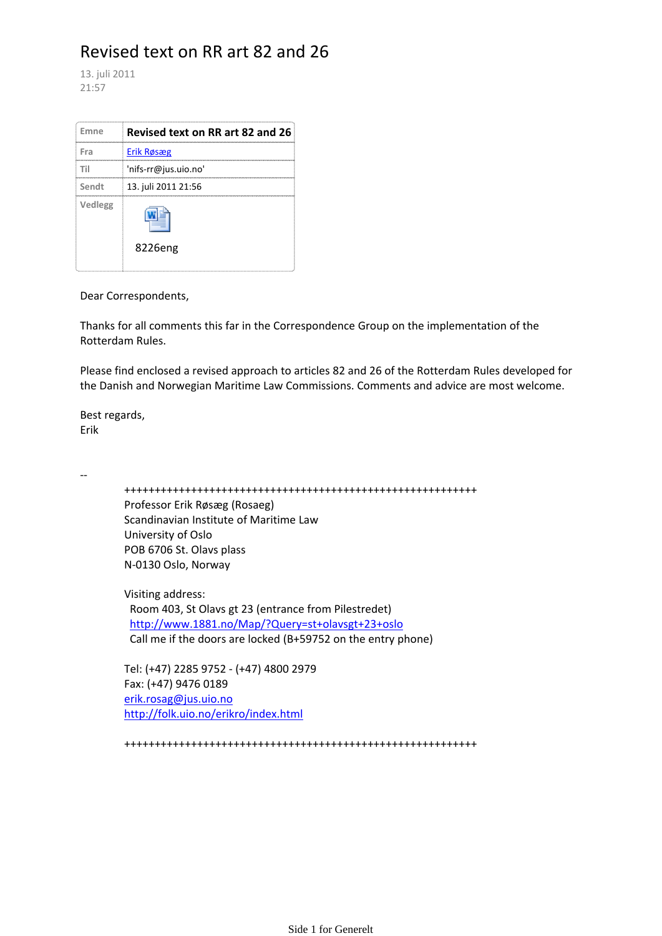# Revised text on RR art 82 and 26

13. juli 2011 21:57

| Emne    | Revised text on RR art 82 and 26 |
|---------|----------------------------------|
| Fra     | Erik Røsæg                       |
| Til     | 'nifs-rr@jus.uio.no'             |
| Sendt   | 13. juli 2011 21:56              |
| Vedlegg | 8226eng                          |

Dear Correspondents,

Thanks for all comments this far in the Correspondence Group on the implementation of the Rotterdam Rules.

Please find enclosed a revised approach to articles 82 and 26 of the Rotterdam Rules developed for the Danish and Norwegian Maritime Law Commissions. Comments and advice are most welcome.

Best regards, Erik

‐‐

 ++++++++++++++++++++++++++++++++++++++++++++++++++++++++++ Professor Erik Røsæg (Rosaeg) Scandinavian Institute of Maritime Law University of Oslo POB 6706 St. Olavs plass N‐0130 Oslo, Norway Visiting address: Room 403, St Olavs gt 23 (entrance from Pilestredet) http://www.1881.no/Map/?Query=st+olavsgt+23+oslo Call me if the doors are locked (B+59752 on the entry phone)

 Tel: (+47) 2285 9752 ‐ (+47) 4800 2979 Fax: (+47) 9476 0189 erik.rosag@jus.uio.no http://folk.uio.no/erikro/index.html

++++++++++++++++++++++++++++++++++++++++++++++++++++++++++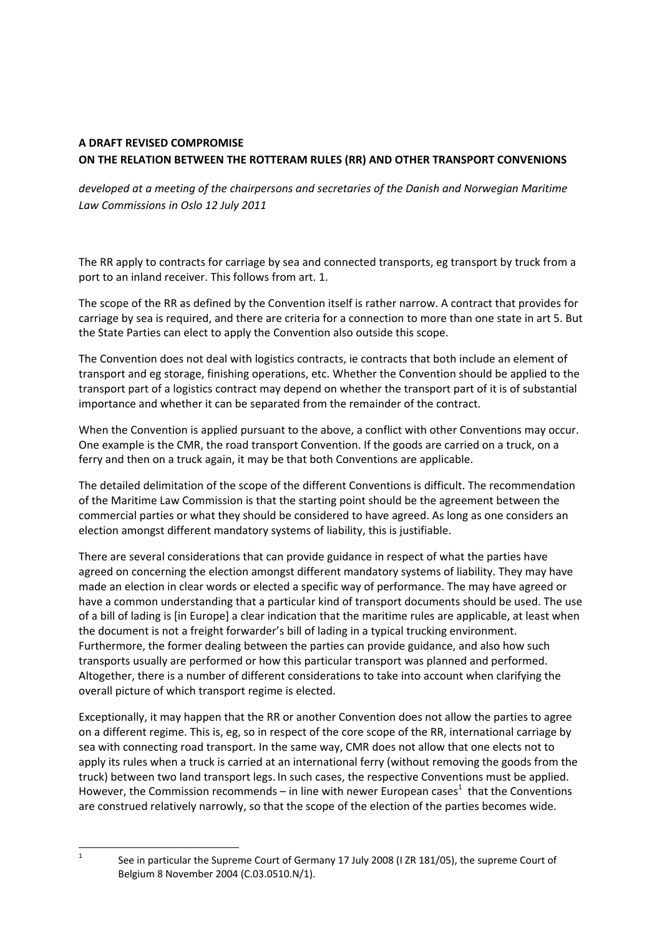## **A DRAFT REVISED COMPROMISE ON THE RELATION BETWEEN THE ROTTERAM RULES (RR) AND OTHER TRANSPORT CONVENIONS**

*developed at a meeting of the chairpersons and secretaries of the Danish and Norwegian Maritime Law Commissions in Oslo 12 July 2011*

The RR apply to contracts for carriage by sea and connected transports, eg transport by truck from a port to an inland receiver. This follows from art. 1.

The scope of the RR as defined by the Convention itself is rather narrow. A contract that provides for carriage by sea is required, and there are criteria for a connection to more than one state in art 5. But the State Parties can elect to apply the Convention also outside this scope.

The Convention does not deal with logistics contracts, ie contracts that both include an element of transport and eg storage, finishing operations, etc. Whether the Convention should be applied to the transport part of a logistics contract may depend on whether the transport part of it is of substantial importance and whether it can be separated from the remainder of the contract.

When the Convention is applied pursuant to the above, a conflict with other Conventions may occur. One example is the CMR, the road transport Convention. If the goods are carried on a truck, on a ferry and then on a truck again, it may be that both Conventions are applicable.

The detailed delimitation of the scope of the different Conventions is difficult. The recommendation of the Maritime Law Commission is that the starting point should be the agreement between the commercial parties or what they should be considered to have agreed. As long as one considers an election amongst different mandatory systems of liability, this is justifiable.

There are several considerations that can provide guidance in respect of what the parties have agreed on concerning the election amongst different mandatory systems of liability. They may have made an election in clear words or elected a specific way of performance. The may have agreed or have a common understanding that a particular kind of transport documents should be used. The use of a bill of lading is [in Europe] a clear indication that the maritime rules are applicable, at least when the document is not a freight forwarder's bill of lading in a typical trucking environment. Furthermore, the former dealing between the parties can provide guidance, and also how such transports usually are performed or how this particular transport was planned and performed. Altogether, there is a number of different considerations to take into account when clarifying the overall picture of which transport regime is elected.

Exceptionally, it may happen that the RR or another Convention does not allow the parties to agree on a different regime. This is, eg, so in respect of the core scope of the RR, international carriage by sea with connecting road transport. In the same way, CMR does not allow that one elects not to apply its rules when a truck is carried at an international ferry (without removing the goods from the truck) between two land transport legs. In such cases, the respective Conventions must be applied. However, the Commission recommends – in line with newer European cases<sup>1</sup> that the Conventions are construed relatively narrowly, so that the scope of the election of the parties becomes wide.

 1

 See in particular the Supreme Court of Germany 17 July 2008 (I ZR 181/05), the supreme Court of Belgium 8 November 2004 (C.03.0510.N/1).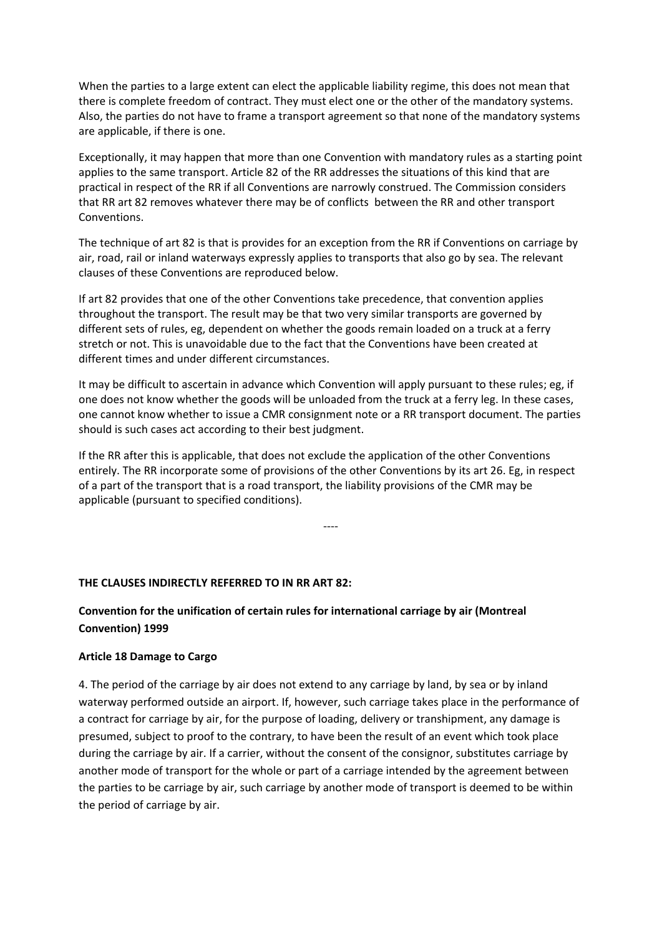When the parties to a large extent can elect the applicable liability regime, this does not mean that there is complete freedom of contract. They must elect one or the other of the mandatory systems. Also, the parties do not have to frame a transport agreement so that none of the mandatory systems are applicable, if there is one.

Exceptionally, it may happen that more than one Convention with mandatory rules as a starting point applies to the same transport. Article 82 of the RR addresses the situations of this kind that are practical in respect of the RR if all Conventions are narrowly construed. The Commission considers that RR art 82 removes whatever there may be of conflicts between the RR and other transport Conventions.

The technique of art 82 is that is provides for an exception from the RR if Conventions on carriage by air, road, rail or inland waterways expressly applies to transports that also go by sea. The relevant clauses of these Conventions are reproduced below.

If art 82 provides that one of the other Conventions take precedence, that convention applies throughout the transport. The result may be that two very similar transports are governed by different sets of rules, eg, dependent on whether the goods remain loaded on a truck at a ferry stretch or not. This is unavoidable due to the fact that the Conventions have been created at different times and under different circumstances.

It may be difficult to ascertain in advance which Convention will apply pursuant to these rules; eg, if one does not know whether the goods will be unloaded from the truck at a ferry leg. In these cases, one cannot know whether to issue a CMR consignment note or a RR transport document. The parties should is such cases act according to their best judgment.

If the RR after this is applicable, that does not exclude the application of the other Conventions entirely. The RR incorporate some of provisions of the other Conventions by its art 26. Eg, in respect of a part of the transport that is a road transport, the liability provisions of the CMR may be applicable (pursuant to specified conditions).

‐‐‐‐

#### **THE CLAUSES INDIRECTLY REFERRED TO IN RR ART 82:**

### **Convention for the unification of certain rules for international carriage by air (Montreal Convention) 1999**

#### **Article 18 Damage to Cargo**

4. The period of the carriage by air does not extend to any carriage by land, by sea or by inland waterway performed outside an airport. If, however, such carriage takes place in the performance of a contract for carriage by air, for the purpose of loading, delivery or transhipment, any damage is presumed, subject to proof to the contrary, to have been the result of an event which took place during the carriage by air. If a carrier, without the consent of the consignor, substitutes carriage by another mode of transport for the whole or part of a carriage intended by the agreement between the parties to be carriage by air, such carriage by another mode of transport is deemed to be within the period of carriage by air.